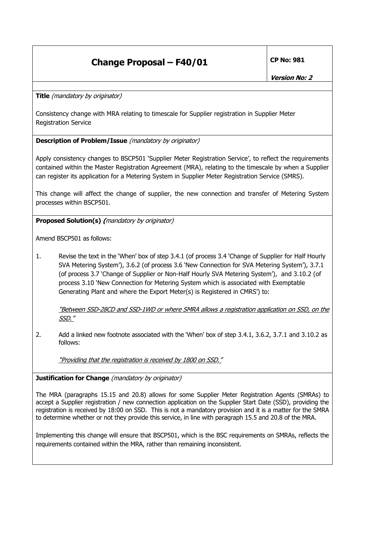## **Change Proposal – F40/01 CP No: 981**

**Title** (mandatory by originator)

Consistency change with MRA relating to timescale for Supplier registration in Supplier Meter Registration Service

## **Description of Problem/Issue** (mandatory by originator)

Apply consistency changes to BSCP501 'Supplier Meter Registration Service', to reflect the requirements contained within the Master Registration Agreement (MRA), relating to the timescale by when a Supplier can register its application for a Metering System in Supplier Meter Registration Service (SMRS).

This change will affect the change of supplier, the new connection and transfer of Metering System processes within BSCP501.

**Proposed Solution(s) (**mandatory by originator)

Amend BSCP501 as follows:

1. Revise the text in the 'When' box of step 3.4.1 (of process 3.4 'Change of Supplier for Half Hourly SVA Metering System'), 3.6.2 (of process 3.6 'New Connection for SVA Metering System'), 3.7.1 (of process 3.7 'Change of Supplier or Non-Half Hourly SVA Metering System'), and 3.10.2 (of process 3.10 'New Connection for Metering System which is associated with Exemptable Generating Plant and where the Export Meter(s) is Registered in CMRS') to:

"Between SSD-28CD and SSD-1WD or where SMRA allows a registration application on SSD, on the SSD."

2. Add a linked new footnote associated with the 'When' box of step 3.4.1, 3.6.2, 3.7.1 and 3.10.2 as follows:

"Providing that the registration is received by 1800 on SSD."

## **Justification for Change** (mandatory by originator)

The MRA (paragraphs 15.15 and 20.8) allows for some Supplier Meter Registration Agents (SMRAs) to accept a Supplier registration / new connection application on the Supplier Start Date (SSD), providing the registration is received by 18:00 on SSD. This is not a mandatory provision and it is a matter for the SMRA to determine whether or not they provide this service, in line with paragraph 15.5 and 20.8 of the MRA.

Implementing this change will ensure that BSCP501, which is the BSC requirements on SMRAs, reflects the requirements contained within the MRA, rather than remaining inconsistent.